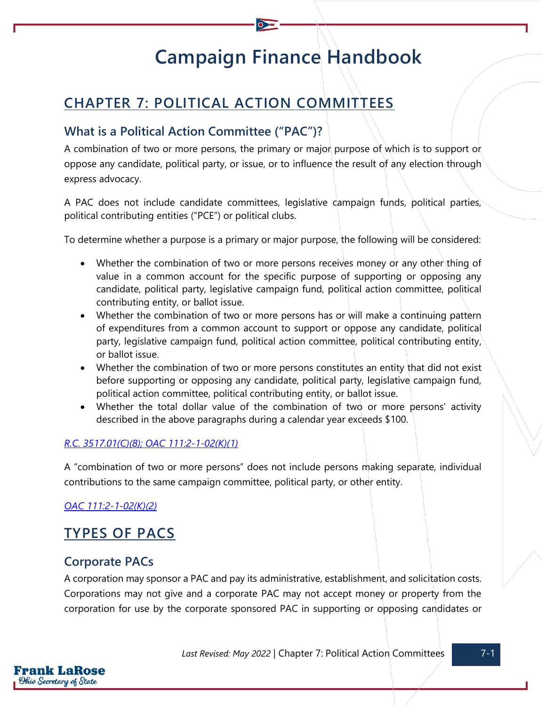# **Campaign Finance Handbook**

# **CHAPTER 7: POLITICAL ACTION COMMITTEES**

# **What is a Political Action Committee ("PAC")?**

A combination of two or more persons, the primary or major purpose of which is to support or oppose any candidate, political party, or issue, or to influence the result of any election through express advocacy.

A PAC does not include candidate committees, legislative campaign funds, political parties, political contributing entities ("PCE") or political clubs.

To determine whether a purpose is a primary or major purpose, the following will be considered:

- Whether the combination of two or more persons receives money or any other thing of value in a common account for the specific purpose of supporting or opposing any candidate, political party, legislative campaign fund, political action committee, political contributing entity, or ballot issue.
- Whether the combination of two or more persons has or will make a continuing pattern of expenditures from a common account to support or oppose any candidate, political party, legislative campaign fund, political action committee, political contributing entity, or ballot issue.
- Whether the combination of two or more persons constitutes an entity that did not exist before supporting or opposing any candidate, political party, legislative campaign fund, political action committee, political contributing entity, or ballot issue.
- Whether the total dollar value of the combination of two or more persons' activity described in the above paragraphs during a calendar year exceeds \$100.

#### *[R.C. 3517.01\(C\)\(8\);](https://codes.ohio.gov/ohio-revised-code/section-3517.01) [OAC 111:2-1-02\(K\)\(1\)](https://codes.ohio.gov/ohio-administrative-code/rule-111:2-1-02)*

A "combination of two or more persons" does not include persons making separate, individual contributions to the same campaign committee, political party, or other entity.

*[OAC 111:2-1-02\(K\)\(2\)](https://codes.ohio.gov/ohio-administrative-code/rule-111:2-1-02)*

# **TYPES OF PACS**

### **Corporate PACs**

rank LaRose Ohio Secretary of State

A corporation may sponsor a PAC and pay its administrative, establishment, and solicitation costs. Corporations may not give and a corporate PAC may not accept money or property from the corporation for use by the corporate sponsored PAC in supporting or opposing candidates or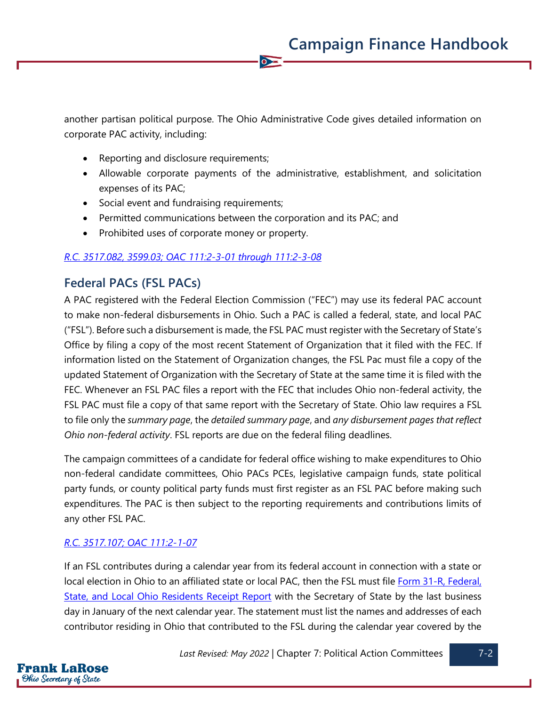another partisan political purpose. The Ohio Administrative Code gives detailed information on corporate PAC activity, including:

 $\bullet$ 

- Reporting and disclosure requirements;
- Allowable corporate payments of the administrative, establishment, and solicitation expenses of its PAC;
- Social event and fundraising requirements;
- Permitted communications between the corporation and its PAC; and
- Prohibited uses of corporate money or property.

#### *[R.C. 3517.082,](https://codes.ohio.gov/ohio-revised-code/section-3517.082) [3599.03;](https://codes.ohio.gov/ohio-revised-code/section-3599.03) [OAC 111:2-3-01](https://codes.ohio.gov/ohio-administrative-code/chapter-111:2-3) [through](https://codes.ohio.gov/ohio-administrative-code/chapter-111:2-3) [111:2-3-08](https://codes.ohio.gov/ohio-administrative-code/chapter-111:2-3)*

### **Federal PACs (FSL PACs)**

A PAC registered with the Federal Election Commission ("FEC") may use its federal PAC account to make non-federal disbursements in Ohio. Such a PAC is called a federal, state, and local PAC ("FSL"). Before such a disbursement is made, the FSL PAC must register with the Secretary of State's Office by filing a copy of the most recent Statement of Organization that it filed with the FEC. If information listed on the Statement of Organization changes, the FSL Pac must file a copy of the updated Statement of Organization with the Secretary of State at the same time it is filed with the FEC. Whenever an FSL PAC files a report with the FEC that includes Ohio non-federal activity, the FSL PAC must file a copy of that same report with the Secretary of State. Ohio law requires a FSL to file only the *summary page*, the *detailed summary page*, and *any disbursement pages that reflect Ohio non-federal activity*. FSL reports are due on the federal filing deadlines.

The campaign committees of a candidate for federal office wishing to make expenditures to Ohio non-federal candidate committees, Ohio PACs PCEs, legislative campaign funds, state political party funds, or county political party funds must first register as an FSL PAC before making such expenditures. The PAC is then subject to the reporting requirements and contributions limits of any other FSL PAC.

#### *[R.C. 3517.107;](https://codes.ohio.gov/ohio-revised-code/section-3517.107) [OAC 111:2-1-07](https://codes.ohio.gov/ohio-administrative-code/rule-111:2-1-07)*

If an FSL contributes during a calendar year from its federal account in connection with a state or local election in Ohio to an affiliated state or local PAC, then the FSL must file Form 31-R, Federal, [State, and Local Ohio Residents Receipt Report](https://www.ohiosos.gov/globalassets/candidates/forms/31r.pdf) with the Secretary of State by the last business day in January of the next calendar year. The statement must list the names and addresses of each contributor residing in Ohio that contributed to the FSL during the calendar year covered by the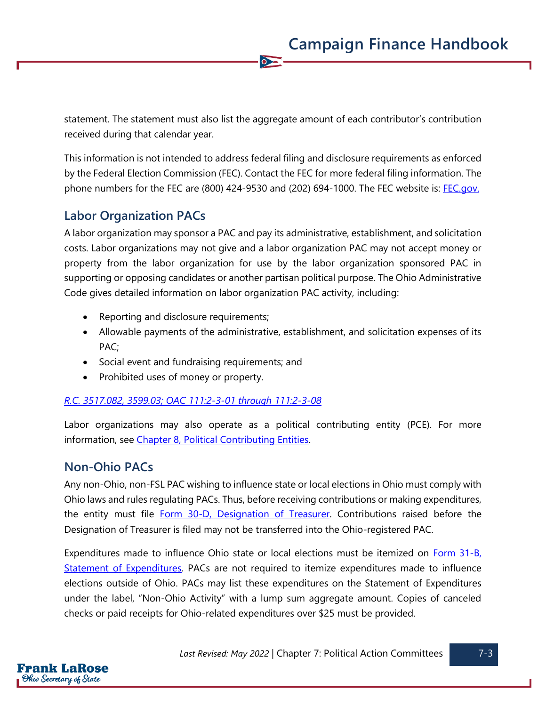statement. The statement must also list the aggregate amount of each contributor's contribution received during that calendar year.

 $\overline{\bullet}$ 

This information is not intended to address federal filing and disclosure requirements as enforced by the Federal Election Commission (FEC). Contact the FEC for more federal filing information. The phone numbers for the FEC are (800) 424-9530 and (202) 694-1000. The FEC website is: [FEC.gov.](https://www.fec.gov/)

### **Labor Organization PACs**

A labor organization may sponsor a PAC and pay its administrative, establishment, and solicitation costs. Labor organizations may not give and a labor organization PAC may not accept money or property from the labor organization for use by the labor organization sponsored PAC in supporting or opposing candidates or another partisan political purpose. The Ohio Administrative Code gives detailed information on labor organization PAC activity, including:

- Reporting and disclosure requirements;
- Allowable payments of the administrative, establishment, and solicitation expenses of its PAC;
- Social event and fundraising requirements; and
- Prohibited uses of money or property.

#### *[R.C. 3517.082,](https://codes.ohio.gov/ohio-revised-code/section-3517.082) [3599.03;](https://codes.ohio.gov/ohio-revised-code/section-3599.03) [OAC 111:2-3-01](https://codes.ohio.gov/ohio-administrative-code/chapter-111:2-3) [through](https://codes.ohio.gov/ohio-administrative-code/chapter-111:2-3) [111:2-3-08](https://codes.ohio.gov/ohio-administrative-code/chapter-111:2-3)*

Labor organizations may also operate as a political contributing entity (PCE). For more information, see [Chapter 8, Political Contributing Entities.](https://www.ohiosos.gov/globalassets/candidates/cfguide/chapters/chapter8.pdf)

### **Non-Ohio PACs**

Any non-Ohio, non-FSL PAC wishing to influence state or local elections in Ohio must comply with Ohio laws and rules regulating PACs. Thus, before receiving contributions or making expenditures, the entity must file [Form 30-D, Designation of Treasurer.](https://www.ohiosos.gov/globalassets/candidates/forms/30d.pdf) Contributions raised before the Designation of Treasurer is filed may not be transferred into the Ohio-registered PAC.

Expenditures made to influence Ohio state or local elections must be itemized on **Form 31-B**, [Statement of Expenditures.](https://www.ohiosos.gov/globalassets/candidates/forms/31b.pdf) PACs are not required to itemize expenditures made to influence elections outside of Ohio. PACs may list these expenditures on the Statement of Expenditures under the label, "Non-Ohio Activity" with a lump sum aggregate amount. Copies of canceled checks or paid receipts for Ohio-related expenditures over \$25 must be provided.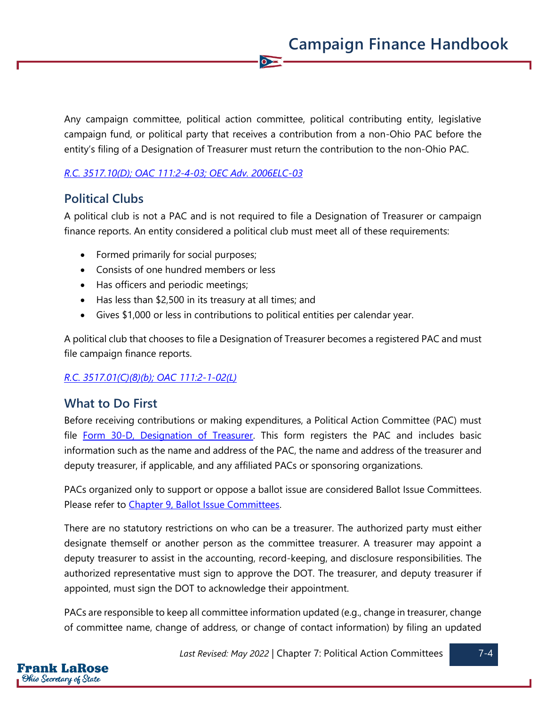Any campaign committee, political action committee, political contributing entity, legislative campaign fund, or political party that receives a contribution from a non-Ohio PAC before the entity's filing of a Designation of Treasurer must return the contribution to the non-Ohio PAC.

 $\overline{\bullet}$ 

#### *[R.C. 3517.10\(D\);](https://codes.ohio.gov/ohio-revised-code/section-3517.10) [OAC 111:2-4-03;](https://codes.ohio.gov/ohio-administrative-code/rule-111:2-4-03) [OEC Adv. 2006ELC-03](https://elc.ohio.gov/wps/portal/gov/elc/opinions-decisions/advisory-opinions/by-year/2006-03)*

### **Political Clubs**

A political club is not a PAC and is not required to file a Designation of Treasurer or campaign finance reports. An entity considered a political club must meet all of these requirements:

- Formed primarily for social purposes;
- Consists of one hundred members or less
- Has officers and periodic meetings;
- Has less than \$2,500 in its treasury at all times; and
- Gives \$1,000 or less in contributions to political entities per calendar year.

A political club that chooses to file a Designation of Treasurer becomes a registered PAC and must file campaign finance reports.

#### *[R.C. 3517.01\(C\)\(8\)\(b\);](https://codes.ohio.gov/ohio-revised-code/section-3517.01) [OAC 111:2-1-02\(L\)](https://codes.ohio.gov/ohio-administrative-code/rule-111:2-1-02)*

### **What to Do First**

Before receiving contributions or making expenditures, a Political Action Committee (PAC) must file [Form 30-D, Designation of Treasurer.](https://www.ohiosos.gov/globalassets/candidates/forms/30d.pdf) This form registers the PAC and includes basic information such as the name and address of the PAC, the name and address of the treasurer and deputy treasurer, if applicable, and any affiliated PACs or sponsoring organizations.

PACs organized only to support or oppose a ballot issue are considered Ballot Issue Committees. Please refer to Chapter [9, Ballot Issue Committees.](https://www.ohiosos.gov/globalassets/candidates/cfguide/chapters/chapter9.pdf)

There are no statutory restrictions on who can be a treasurer. The authorized party must either designate themself or another person as the committee treasurer. A treasurer may appoint a deputy treasurer to assist in the accounting, record-keeping, and disclosure responsibilities. The authorized representative must sign to approve the DOT. The treasurer, and deputy treasurer if appointed, must sign the DOT to acknowledge their appointment.

PACs are responsible to keep all committee information updated (e.g., change in treasurer, change of committee name, change of address, or change of contact information) by filing an updated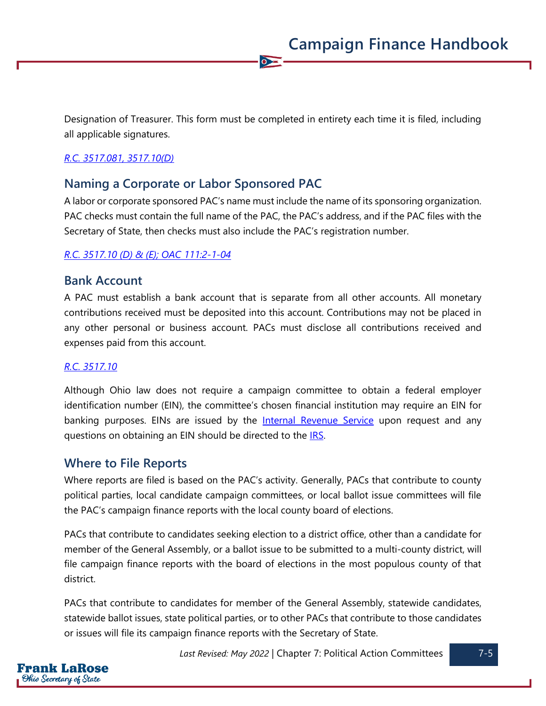Designation of Treasurer. This form must be completed in entirety each time it is filed, including all applicable signatures.

 $\overline{\bullet}$ 

#### *[R.C. 3517.081,](https://codes.ohio.gov/ohio-revised-code/section-3517.081) [3517.10\(D\)](https://codes.ohio.gov/ohio-revised-code/section-3517.10)*

### **Naming a Corporate or Labor Sponsored PAC**

A labor or corporate sponsored PAC's name must include the name of its sponsoring organization. PAC checks must contain the full name of the PAC, the PAC's address, and if the PAC files with the Secretary of State, then checks must also include the PAC's registration number.

#### *[R.C. 3517.10 \(D\) &](https://codes.ohio.gov/ohio-revised-code/section-3517.10) (E); [OAC 111:2-1-04](https://codes.ohio.gov/ohio-administrative-code/rule-111:2-1-04)*

#### **Bank Account**

A PAC must establish a bank account that is separate from all other accounts. All monetary contributions received must be deposited into this account. Contributions may not be placed in any other personal or business account. PACs must disclose all contributions received and expenses paid from this account.

#### *[R.C. 3517.10](https://codes.ohio.gov/ohio-revised-code/section-3517.10)*

Although Ohio law does not require a campaign committee to obtain a federal employer identification number (EIN), the committee's chosen financial institution may require an EIN for banking purposes. EINs are issued by the **[Internal Revenue Service](https://www.irs.gov/businesses/small-businesses-self-employed/apply-for-an-employer-identification-number-ein-online)** upon request and any questions on obtaining an EIN should be directed to the **IRS**.

#### **Where to File Reports**

Where reports are filed is based on the PAC's activity. Generally, PACs that contribute to county political parties, local candidate campaign committees, or local ballot issue committees will file the PAC's campaign finance reports with the local county board of elections.

PACs that contribute to candidates seeking election to a district office, other than a candidate for member of the General Assembly, or a ballot issue to be submitted to a multi-county district, will file campaign finance reports with the board of elections in the most populous county of that district.

PACs that contribute to candidates for member of the General Assembly, statewide candidates, statewide ballot issues, state political parties, or to other PACs that contribute to those candidates or issues will file its campaign finance reports with the Secretary of State.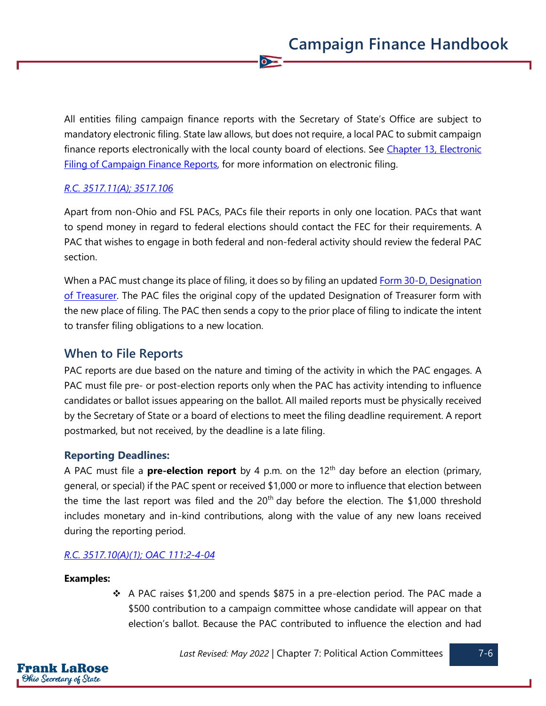All entities filing campaign finance reports with the Secretary of State's Office are subject to mandatory electronic filing. State law allows, but does not require, a local PAC to submit campaign finance reports electronically with the local county board of elections. See Chapter 13, Electronic [Filing of Campaign Finance Reports,](https://www.ohiosos.gov/globalassets/candidates/cfguide/chapters/chapter13.pdf) for more information on electronic filing.

 $\overline{\bullet}$ 

#### *[R.C. 3517.11\(A\);](https://codes.ohio.gov/ohio-revised-code/section-3517.11) [3517.106](https://codes.ohio.gov/ohio-revised-code/section-3517.106)*

Apart from non-Ohio and FSL PACs, PACs file their reports in only one location. PACs that want to spend money in regard to federal elections should contact the FEC for their requirements. A PAC that wishes to engage in both federal and non-federal activity should review the federal PAC section.

When a PAC must change its place of filing, it does so by filing an updated Form 30-D, Designation [of Treasurer.](https://www.ohiosos.gov/globalassets/candidates/forms/30d.pdf) The PAC files the original copy of the updated Designation of Treasurer form with the new place of filing. The PAC then sends a copy to the prior place of filing to indicate the intent to transfer filing obligations to a new location.

#### **When to File Reports**

PAC reports are due based on the nature and timing of the activity in which the PAC engages. A PAC must file pre- or post-election reports only when the PAC has activity intending to influence candidates or ballot issues appearing on the ballot. All mailed reports must be physically received by the Secretary of State or a board of elections to meet the filing deadline requirement. A report postmarked, but not received, by the deadline is a late filing.

#### **Reporting Deadlines:**

A PAC must file a **pre-election report** by 4 p.m. on the 12th day before an election (primary, general, or special) if the PAC spent or received \$1,000 or more to influence that election between the time the last report was filed and the  $20<sup>th</sup>$  day before the election. The \$1,000 threshold includes monetary and in-kind contributions, along with the value of any new loans received during the reporting period.

#### *[R.C. 3517.10\(A\)\(1\);](https://codes.ohio.gov/ohio-revised-code/section-3517.10) [OAC 111:2-4-04](https://codes.ohio.gov/ohio-administrative-code/rule-111:2-4-04)*

#### **Examples:**

❖ A PAC raises \$1,200 and spends \$875 in a pre-election period. The PAC made a \$500 contribution to a campaign committee whose candidate will appear on that election's ballot. Because the PAC contributed to influence the election and had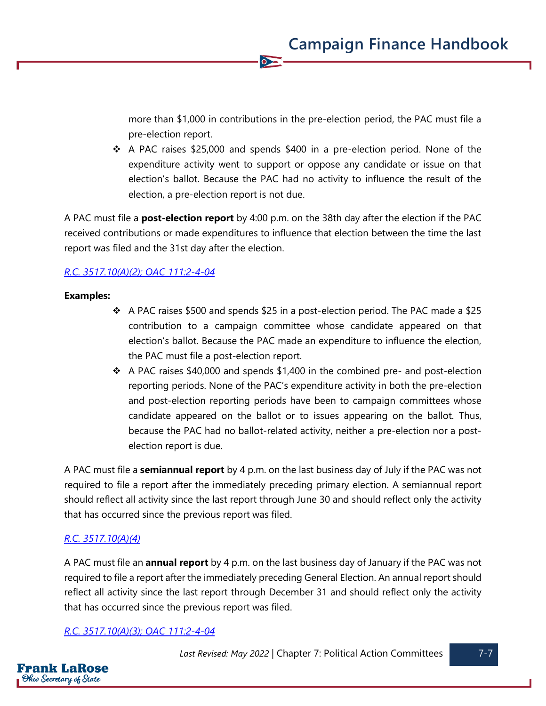more than \$1,000 in contributions in the pre-election period, the PAC must file a pre-election report.

❖ A PAC raises \$25,000 and spends \$400 in a pre-election period. None of the expenditure activity went to support or oppose any candidate or issue on that election's ballot. Because the PAC had no activity to influence the result of the election, a pre-election report is not due.

A PAC must file a **post-election report** by 4:00 p.m. on the 38th day after the election if the PAC received contributions or made expenditures to influence that election between the time the last report was filed and the 31st day after the election.

 $\overline{\bullet}$ 

#### *[R.C. 3517.10\(A\)\(2\);](https://codes.ohio.gov/ohio-revised-code/section-3517.10) [OAC 111:2-4-04](https://codes.ohio.gov/ohio-administrative-code/rule-111:2-4-04)*

#### **Examples:**

- ❖ A PAC raises \$500 and spends \$25 in a post-election period. The PAC made a \$25 contribution to a campaign committee whose candidate appeared on that election's ballot. Because the PAC made an expenditure to influence the election, the PAC must file a post-election report.
- $\div$  A PAC raises \$40,000 and spends \$1,400 in the combined pre- and post-election reporting periods. None of the PAC's expenditure activity in both the pre-election and post-election reporting periods have been to campaign committees whose candidate appeared on the ballot or to issues appearing on the ballot. Thus, because the PAC had no ballot-related activity, neither a pre-election nor a postelection report is due.

A PAC must file a **semiannual report** by 4 p.m. on the last business day of July if the PAC was not required to file a report after the immediately preceding primary election. A semiannual report should reflect all activity since the last report through June 30 and should reflect only the activity that has occurred since the previous report was filed.

#### *[R.C. 3517.10\(A\)\(4\)](https://codes.ohio.gov/ohio-revised-code/section-3517.10)*

A PAC must file an **annual report** by 4 p.m. on the last business day of January if the PAC was not required to file a report after the immediately preceding General Election. An annual report should reflect all activity since the last report through December 31 and should reflect only the activity that has occurred since the previous report was filed.

#### *[R.C. 3517.10\(A\)\(3\);](https://codes.ohio.gov/ohio-revised-code/section-3517.10) [OAC 111:2-4-04](https://codes.ohio.gov/ohio-administrative-code/rule-111:2-4-04)*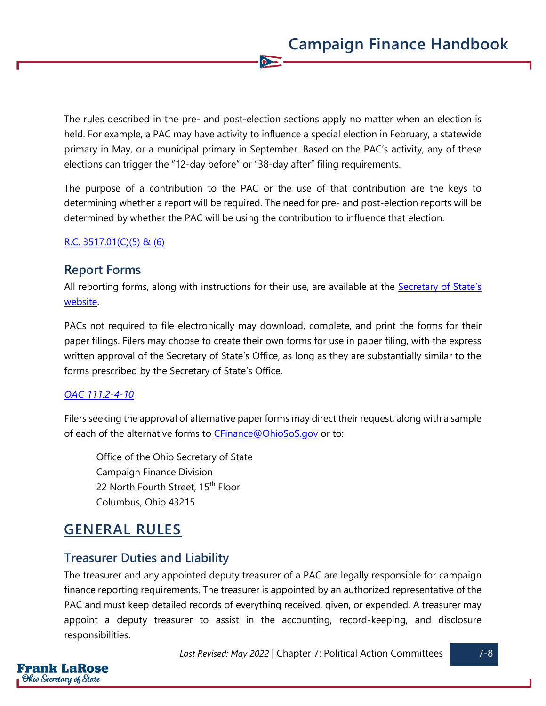The rules described in the pre- and post-election sections apply no matter when an election is held. For example, a PAC may have activity to influence a special election in February, a statewide primary in May, or a municipal primary in September. Based on the PAC's activity, any of these elections can trigger the "12-day before" or "38-day after" filing requirements.

 $\overline{\bullet}$ 

The purpose of a contribution to the PAC or the use of that contribution are the keys to determining whether a report will be required. The need for pre- and post-election reports will be determined by whether the PAC will be using the contribution to influence that election.

#### [R.C. 3517.01\(C\)\(5\)](https://codes.ohio.gov/ohio-revised-code/section-3517.01) & (6)

#### **Report Forms**

All reporting forms, along with instructions for their use, are available at the [Secretary of S](https://www.ohiosos.gov/campaign-finance/filing-forms/)tate's [website.](https://www.ohiosos.gov/campaign-finance/filing-forms/)

PACs not required to file electronically may download, complete, and print the forms for their paper filings. Filers may choose to create their own forms for use in paper filing, with the express written approval of the Secretary of State's Office, as long as they are substantially similar to the forms prescribed by the Secretary of State's Office.

#### *[OAC 111:2-4-10](https://codes.ohio.gov/ohio-administrative-code/rule-111:2-4-10)*

Filers seeking the approval of alternative paper forms may direct their request, along with a sample of each of the alternative forms to [CFinance@OhioSoS.gov](mailto:CFinance@OhioSoS.gov) or to:

Office of the Ohio Secretary of State Campaign Finance Division 22 North Fourth Street, 15<sup>th</sup> Floor Columbus, Ohio 43215

# **GENERAL RULES**

### **Treasurer Duties and Liability**

The treasurer and any appointed deputy treasurer of a PAC are legally responsible for campaign finance reporting requirements. The treasurer is appointed by an authorized representative of the PAC and must keep detailed records of everything received, given, or expended. A treasurer may appoint a deputy treasurer to assist in the accounting, record-keeping, and disclosure responsibilities.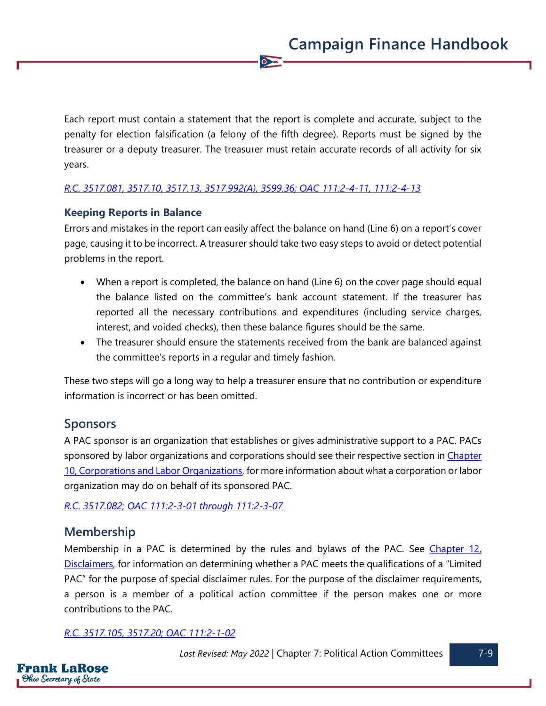Each report must contain a statement that the report is complete and accurate, subject to the penalty for election falsification (a felony of the fifth degree). Reports must be signed by the treasurer or a deputy treasurer. The treasurer must retain accurate records of all activity for six years.

 $\overline{\bullet}$ 

#### *[R.C. 3517.081,](https://codes.ohio.gov/ohio-revised-code/section-3517.081) [3517.10,](https://codes.ohio.gov/ohio-revised-code/section-3517.10) [3517.13,](https://codes.ohio.gov/ohio-revised-code/section-3517.13) [3517.992\(A\),](https://codes.ohio.gov/ohio-revised-code/section-3517.992) [3599.36;](https://codes.ohio.gov/ohio-revised-code/section-3599.36) [OAC 111:2-4-11,](https://codes.ohio.gov/ohio-administrative-code/rule-111:2-4-11) [111:2-4-13](https://codes.ohio.gov/ohio-administrative-code/rule-111:2-4-13)*

#### **Keeping Reports in Balance**

Errors and mistakes in the report can easily affect the balance on hand (Line 6) on a report's cover page, causing it to be incorrect. A treasurer should take two easy steps to avoid or detect potential problems in the report.

- When a report is completed, the balance on hand (Line 6) on the cover page should equal the balance listed on the committee's bank account statement. If the treasurer has reported all the necessary contributions and expenditures (including service charges, interest, and voided checks), then these balance figures should be the same.
- The treasurer should ensure the statements received from the bank are balanced against the committee's reports in a regular and timely fashion.

These two steps will go a long way to help a treasurer ensure that no contribution or expenditure information is incorrect or has been omitted.

#### **Sponsors**

A PAC sponsor is an organization that establishes or gives administrative support to a PAC. PACs sponsored by labor organizations and corporations should see their respective section in Chapter [10, Corporations and Labor Organizations,](https://www.ohiosos.gov/globalassets/candidates/cfguide/chapters/chapter10.pdf) for more information about what a corporation or labor organization may do on behalf of its sponsored PAC.

*[R.C. 3517.082;](https://codes.ohio.gov/ohio-revised-code/section-3517.082) [OAC 111:2-3-01](https://codes.ohio.gov/ohio-administrative-code/rule-111:2-3-01) [through](https://codes.ohio.gov/ohio-administrative-code/chapter-111:2-3) [111:2-3-07](https://codes.ohio.gov/ohio-administrative-code/rule-111:2-3-07)*

#### **Membership**

Membership in a PAC is determined by the rules and bylaws of the PAC. See Chapter 12, [Disclaimers,](https://www.ohiosos.gov/globalassets/candidates/cfguide/chapters/chapter12.pdf) for information on determining whether a PAC meets the qualifications of a "Limited PAC" for the purpose of special disclaimer rules. For the purpose of the disclaimer requirements, a person is a member of a political action committee if the person makes one or more contributions to the PAC.

#### *[R.C. 3517.105,](https://codes.ohio.gov/ohio-revised-code/section-3517.105) [3517.20;](https://codes.ohio.gov/ohio-revised-code/section-3517.20) [OAC 111:2-1-02](https://codes.ohio.gov/ohio-administrative-code/rule-111:2-1-02)*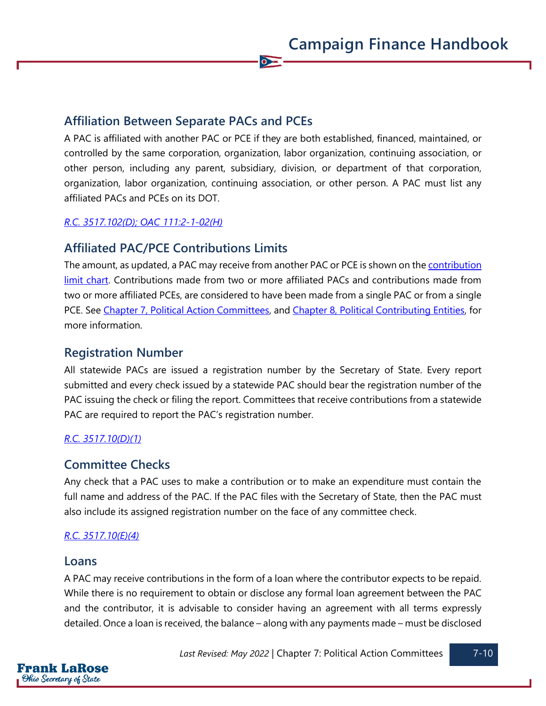### **Affiliation Between Separate PACs and PCEs**

A PAC is affiliated with another PAC or PCE if they are both established, financed, maintained, or controlled by the same corporation, organization, labor organization, continuing association, or other person, including any parent, subsidiary, division, or department of that corporation, organization, labor organization, continuing association, or other person. A PAC must list any affiliated PACs and PCEs on its DOT.

 $\bullet$ 

#### *[R.C. 3517.102\(D\);](https://codes.ohio.gov/ohio-revised-code/section-3517.102) [OAC 111:2-1-02\(H\)](https://codes.ohio.gov/ohio-administrative-code/rule-111:2-1-02)*

### **Affiliated PAC/PCE Contributions Limits**

The amount, as updated, a PAC may receive from another PAC or PCE is shown on th[e contribution](https://www.ohiosos.gov/campaign-finance/contribution-limits/)  [limit chart.](https://www.ohiosos.gov/campaign-finance/contribution-limits/) Contributions made from two or more affiliated PACs and contributions made from two or more affiliated PCEs, are considered to have been made from a single PAC or from a single PCE. See [Chapter 7, Political Action Committees,](https://www.ohiosos.gov/globalassets/candidates/cfguide/chapters/chapter7.pdf) and [Chapter 8, Political Contributing Entities,](https://www.ohiosos.gov/globalassets/candidates/cfguide/chapters/chapter8.pdf) for more information.

### **Registration Number**

All statewide PACs are issued a registration number by the Secretary of State. Every report submitted and every check issued by a statewide PAC should bear the registration number of the PAC issuing the check or filing the report. Committees that receive contributions from a statewide PAC are required to report the PAC's registration number.

#### *[R.C. 3517.10\(D\)\(1\)](https://codes.ohio.gov/ohio-revised-code/section-3517.10)*

### **Committee Checks**

Any check that a PAC uses to make a contribution or to make an expenditure must contain the full name and address of the PAC. If the PAC files with the Secretary of State, then the PAC must also include its assigned registration number on the face of any committee check.

#### *[R.C. 3517.10\(E\)\(4\)](https://codes.ohio.gov/ohio-revised-code/section-3517.10)*

#### **Loans**

A PAC may receive contributions in the form of a loan where the contributor expects to be repaid. While there is no requirement to obtain or disclose any formal loan agreement between the PAC and the contributor, it is advisable to consider having an agreement with all terms expressly detailed. Once a loan is received, the balance – along with any payments made – must be disclosed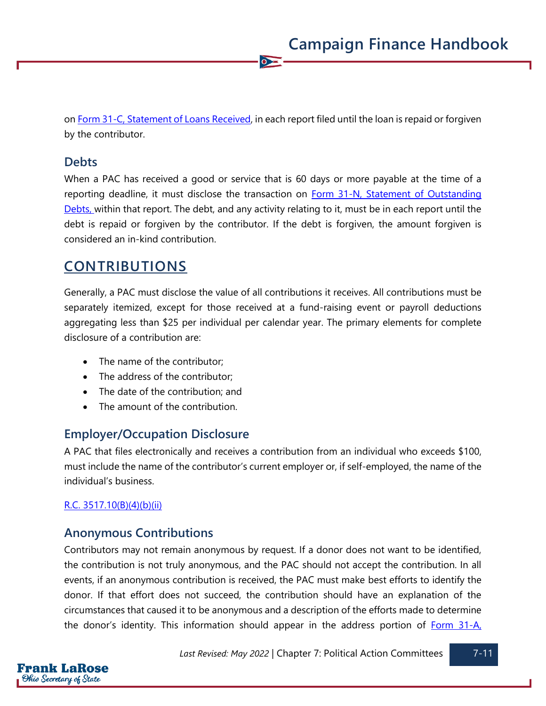on [Form 31-C, Statement of Loans Received,](https://www.ohiosos.gov/globalassets/candidates/forms/31c.pdf) in each report filed until the loan is repaid or forgiven by the contributor.

 $\bullet$ 

### **Debts**

When a PAC has received a good or service that is 60 days or more payable at the time of a reporting deadline, it must disclose the transaction on Form 31-N, Statement of Outstanding [Debts,](https://www.ohiosos.gov/globalassets/candidates/forms/31n.pdf) within that report. The debt, and any activity relating to it, must be in each report until the debt is repaid or forgiven by the contributor. If the debt is forgiven, the amount forgiven is considered an in-kind contribution.

# **CONTRIBUTIONS**

Generally, a PAC must disclose the value of all contributions it receives. All contributions must be separately itemized, except for those received at a fund-raising event or payroll deductions aggregating less than \$25 per individual per calendar year. The primary elements for complete disclosure of a contribution are:

- The name of the contributor:
- The address of the contributor;
- The date of the contribution; and
- The amount of the contribution.

### **Employer/Occupation Disclosure**

A PAC that files electronically and receives a contribution from an individual who exceeds \$100, must include the name of the contributor's current employer or, if self-employed, the name of the individual's business.

#### [R.C. 3517.10\(B\)\(4\)\(b\)\(ii\)](https://codes.ohio.gov/ohio-revised-code/section-3517.10)

### **Anonymous Contributions**

Contributors may not remain anonymous by request. If a donor does not want to be identified, the contribution is not truly anonymous, and the PAC should not accept the contribution. In all events, if an anonymous contribution is received, the PAC must make best efforts to identify the donor. If that effort does not succeed, the contribution should have an explanation of the circumstances that caused it to be anonymous and a description of the efforts made to determine the donor's identity. This information should appear in the address portion of  $Form 31-A$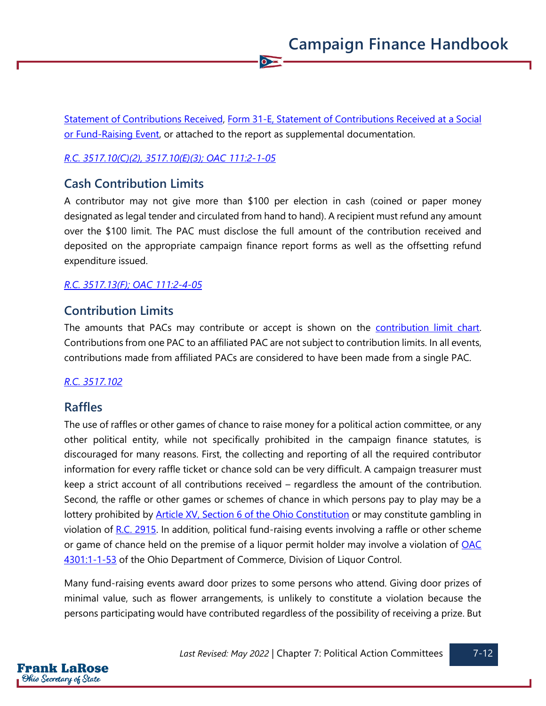[Statement of Contributions Received,](https://www.ohiosos.gov/globalassets/candidates/forms/31a.pdf) [Form 31-E, Statement of Contributions Received at a Social](https://www.ohiosos.gov/globalassets/candidates/forms/31e.pdf)  [or Fund-Raising Event,](https://www.ohiosos.gov/globalassets/candidates/forms/31e.pdf) or attached to the report as supplemental documentation.

 $\bullet$ 

#### *[R.C. 3517.10\(C\)\(2\), 3517.10\(E\)\(3\);](https://codes.ohio.gov/ohio-revised-code/section-3517.10) [OAC 111:2-1-05](https://codes.ohio.gov/ohio-administrative-code/rule-111:2-1-05)*

### **Cash Contribution Limits**

A contributor may not give more than \$100 per election in cash (coined or paper money designated as legal tender and circulated from hand to hand). A recipient must refund any amount over the \$100 limit. The PAC must disclose the full amount of the contribution received and deposited on the appropriate campaign finance report forms as well as the offsetting refund expenditure issued.

#### *[R.C. 3517.13\(F\);](https://codes.ohio.gov/ohio-revised-code/section-3517.13) [OAC 111:2-4-05](https://codes.ohio.gov/ohio-administrative-code/rule-111:2-4-05)*

### **Contribution Limits**

The amounts that PACs may contribute or accept is shown on the [contribution limit chart.](https://www.ohiosos.gov/globalassets/candidates/limitchart2021.pdf) Contributions from one PAC to an affiliated PAC are not subject to contribution limits. In all events, contributions made from affiliated PACs are considered to have been made from a single PAC.

#### *[R.C. 3517.102](https://codes.ohio.gov/ohio-revised-code/section-3517.102)*

### **Raffles**

The use of raffles or other games of chance to raise money for a political action committee, or any other political entity, while not specifically prohibited in the campaign finance statutes, is discouraged for many reasons. First, the collecting and reporting of all the required contributor information for every raffle ticket or chance sold can be very difficult. A campaign treasurer must keep a strict account of all contributions received – regardless the amount of the contribution. Second, the raffle or other games or schemes of chance in which persons pay to play may be a lottery prohibited by **Article XV, Section 6 of the Ohio Constitution** or may constitute gambling in violation of [R.C. 2915.](https://codes.ohio.gov/ohio-revised-code/chapter-2915) In addition, political fund-raising events involving a raffle or other scheme or game of chance held on the premise of a liquor permit holder may involve a violation of [OAC](https://codes.ohio.gov/ohio-administrative-code/rule-4301:1-1-53)  [4301:1-1-53](https://codes.ohio.gov/ohio-administrative-code/rule-4301:1-1-53) of the Ohio Department of Commerce, Division of Liquor Control.

Many fund-raising events award door prizes to some persons who attend. Giving door prizes of minimal value, such as flower arrangements, is unlikely to constitute a violation because the persons participating would have contributed regardless of the possibility of receiving a prize. But

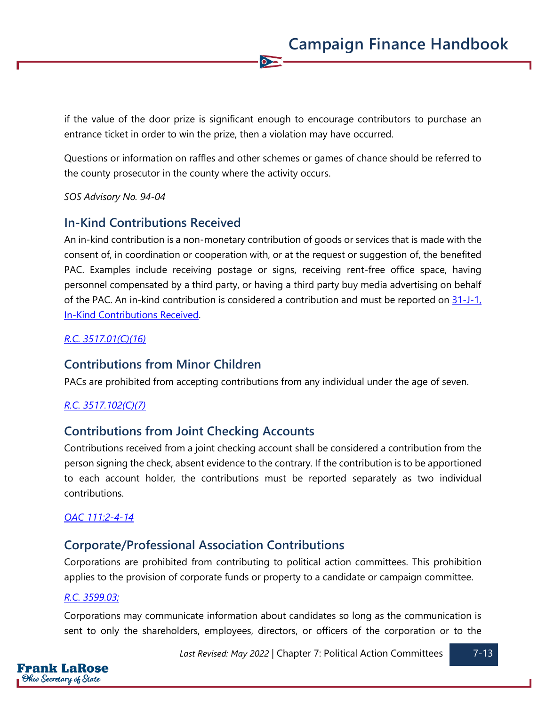if the value of the door prize is significant enough to encourage contributors to purchase an entrance ticket in order to win the prize, then a violation may have occurred.

 $\overline{\bullet}$ 

Questions or information on raffles and other schemes or games of chance should be referred to the county prosecutor in the county where the activity occurs.

*SOS Advisory No. 94-04*

### **In-Kind Contributions Received**

An in-kind contribution is a non-monetary contribution of goods or services that is made with the consent of, in coordination or cooperation with, or at the request or suggestion of, the benefited PAC. Examples include receiving postage or signs, receiving rent-free office space, having personnel compensated by a third party, or having a third party buy media advertising on behalf of the PAC. An in-kind contribution is considered a contribution and must be reported on  $31$ -J-1, [In-Kind Contributions Received.](https://www.ohiosos.gov/globalassets/candidates/forms/31j1.pdf)

#### *[R.C. 3517.01\(C\)\(16\)](https://codes.ohio.gov/ohio-revised-code/section-3517.01)*

### **Contributions from Minor Children**

PACs are prohibited from accepting contributions from any individual under the age of seven.

#### *[R.C. 3517.102\(C\)\(7\)](https://codes.ohio.gov/ohio-revised-code/section-3517.102)*

### **Contributions from Joint Checking Accounts**

Contributions received from a joint checking account shall be considered a contribution from the person signing the check, absent evidence to the contrary. If the contribution is to be apportioned to each account holder, the contributions must be reported separately as two individual contributions.

#### *[OAC 111:2-4-14](https://codes.ohio.gov/ohio-administrative-code/rule-111:2-4-14)*

### **Corporate/Professional Association Contributions**

Corporations are prohibited from contributing to political action committees. This prohibition applies to the provision of corporate funds or property to a candidate or campaign committee.

#### *[R.C. 3599.03;](https://codes.ohio.gov/ohio-revised-code/section-3599.03)*

Corporations may communicate information about candidates so long as the communication is sent to only the shareholders, employees, directors, or officers of the corporation or to the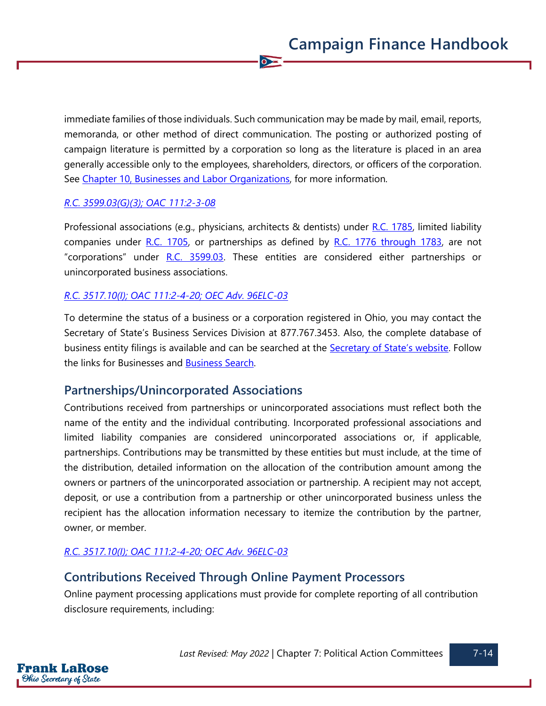immediate families of those individuals. Such communication may be made by mail, email, reports, memoranda, or other method of direct communication. The posting or authorized posting of campaign literature is permitted by a corporation so long as the literature is placed in an area generally accessible only to the employees, shareholders, directors, or officers of the corporation. See [Chapter 10, Businesses and Labor Organizations,](https://www.ohiosos.gov/globalassets/candidates/cfguide/chapters/chapter10.pdf) for more information.

 $\bullet$ 

#### *[R.C. 3599.03\(G\)\(3\);](https://codes.ohio.gov/ohio-revised-code/section-3599.03) [OAC 111:2-3-08](https://codes.ohio.gov/ohio-administrative-code/rule-111:2-3-08)*

Professional associations (e.g., physicians, architects  $\&$  dentists) under [R.C. 1785,](https://codes.ohio.gov/ohio-revised-code/chapter-1785) limited liability companies under  $R.C.$  1705, or partnerships as defined by  $R.C.$  1776 through 1783, are not "corporations" under [R.C. 3599.03.](https://codes.ohio.gov/ohio-revised-code/section-3599.03) These entities are considered either partnerships or unincorporated business associations.

#### *[R.C. 3517.10\(I\);](https://codes.ohio.gov/ohio-revised-code/section-3517.10) [OAC 111:2-4-20;](https://codes.ohio.gov/ohio-administrative-code/rule-111:2-4-20) [OEC Adv. 96ELC-03](https://elc.ohio.gov/wps/portal/gov/elc/opinions-decisions/advisory-opinions/by-year/96-03)*

To determine the status of a business or a corporation registered in Ohio, you may contact the Secretary of State's Business Services Division at 877.767.3453. Also, the complete database of business entity filings is available and can be searched at the **[Secretary of State's website](https://www.ohiosos.gov/)**. Follow the links for Businesses and [Business Search.](https://businesssearch.ohiosos.gov/)

### **Partnerships/Unincorporated Associations**

Contributions received from partnerships or unincorporated associations must reflect both the name of the entity and the individual contributing. Incorporated professional associations and limited liability companies are considered unincorporated associations or, if applicable, partnerships. Contributions may be transmitted by these entities but must include, at the time of the distribution, detailed information on the allocation of the contribution amount among the owners or partners of the unincorporated association or partnership. A recipient may not accept, deposit, or use a contribution from a partnership or other unincorporated business unless the recipient has the allocation information necessary to itemize the contribution by the partner, owner, or member.

#### *[R.C. 3517.10\(I\);](https://codes.ohio.gov/ohio-revised-code/section-3517.10) [OAC 111:2-4-20;](https://codes.ohio.gov/ohio-administrative-code/rule-111:2-4-20) [OEC Adv. 96ELC-03](https://elc.ohio.gov/wps/portal/gov/elc/opinions-decisions/advisory-opinions/by-year/96-03)*

### **Contributions Received Through Online Payment Processors**

Online payment processing applications must provide for complete reporting of all contribution disclosure requirements, including: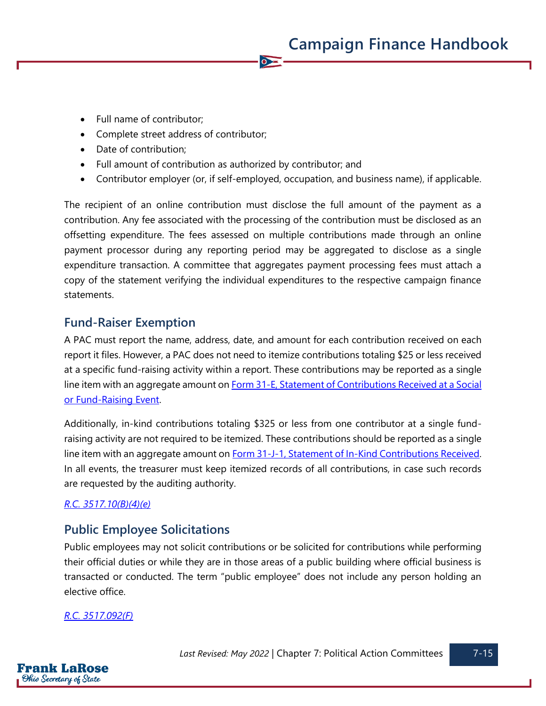- Full name of contributor;
- Complete street address of contributor;
- Date of contribution;
- Full amount of contribution as authorized by contributor; and
- Contributor employer (or, if self-employed, occupation, and business name), if applicable.

 $\overline{\bullet}$ 

The recipient of an online contribution must disclose the full amount of the payment as a contribution. Any fee associated with the processing of the contribution must be disclosed as an offsetting expenditure. The fees assessed on multiple contributions made through an online payment processor during any reporting period may be aggregated to disclose as a single expenditure transaction. A committee that aggregates payment processing fees must attach a copy of the statement verifying the individual expenditures to the respective campaign finance statements.

### **Fund-Raiser Exemption**

A PAC must report the name, address, date, and amount for each contribution received on each report it files. However, a PAC does not need to itemize contributions totaling \$25 or less received at a specific fund-raising activity within a report. These contributions may be reported as a single line item with an aggregate amount on **Form 31-E, Statement of Contributions Received at a Social** [or Fund-Raising Event.](https://www.ohiosos.gov/globalassets/candidates/forms/31e.pdf)

Additionally, in-kind contributions totaling \$325 or less from one contributor at a single fundraising activity are not required to be itemized. These contributions should be reported as a single line item with an aggregate amount on **Form 31-J-1**, Statement of In-Kind Contributions Received. In all events, the treasurer must keep itemized records of all contributions, in case such records are requested by the auditing authority.

#### *[R.C. 3517.10\(B\)\(4\)\(e\)](https://codes.ohio.gov/ohio-revised-code/section-3517.10)*

### **Public Employee Solicitations**

Public employees may not solicit contributions or be solicited for contributions while performing their official duties or while they are in those areas of a public building where official business is transacted or conducted. The term "public employee" does not include any person holding an elective office.

#### *[R.C. 3517.092\(F\)](https://codes.ohio.gov/ohio-revised-code/section-3517.092)*

Frank LaRose **Ohio Secretary of State**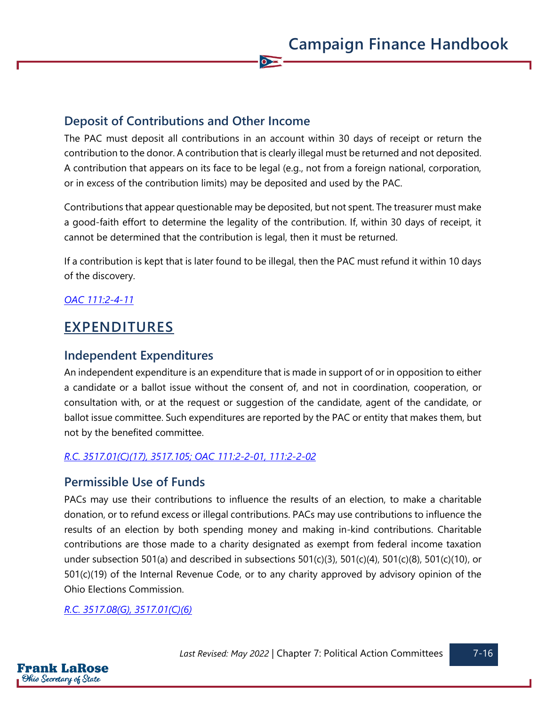### **Deposit of Contributions and Other Income**

The PAC must deposit all contributions in an account within 30 days of receipt or return the contribution to the donor. A contribution that is clearly illegal must be returned and not deposited. A contribution that appears on its face to be legal (e.g., not from a foreign national, corporation, or in excess of the contribution limits) may be deposited and used by the PAC.

 $\bullet$ 

Contributions that appear questionable may be deposited, but not spent. The treasurer must make a good-faith effort to determine the legality of the contribution. If, within 30 days of receipt, it cannot be determined that the contribution is legal, then it must be returned.

If a contribution is kept that is later found to be illegal, then the PAC must refund it within 10 days of the discovery.

#### *[OAC 111:2-4-11](https://codes.ohio.gov/ohio-administrative-code/rule-111:2-4-11)*

## **EXPENDITURES**

#### **Independent Expenditures**

An independent expenditure is an expenditure that is made in support of or in opposition to either a candidate or a ballot issue without the consent of, and not in coordination, cooperation, or consultation with, or at the request or suggestion of the candidate, agent of the candidate, or ballot issue committee. Such expenditures are reported by the PAC or entity that makes them, but not by the benefited committee.

#### *[R.C. 3517.01\(C\)\(17\),](https://codes.ohio.gov/ohio-revised-code/section-3517.01) [3517.105;](https://codes.ohio.gov/ohio-revised-code/section-3517.105) [OAC 111:2-2-01,](https://codes.ohio.gov/ohio-administrative-code/rule-111:2-2-01) [111:2-2-02](https://codes.ohio.gov/ohio-administrative-code/rule-111:2-2-02)*

#### **Permissible Use of Funds**

PACs may use their contributions to influence the results of an election, to make a charitable donation, or to refund excess or illegal contributions. PACs may use contributions to influence the results of an election by both spending money and making in-kind contributions. Charitable contributions are those made to a charity designated as exempt from federal income taxation under subsection 501(a) and described in subsections 501(c)(3), 501(c)(4), 501(c)(8), 501(c)(10), or 501(c)(19) of the Internal Revenue Code, or to any charity approved by advisory opinion of the Ohio Elections Commission.

*[R.C. 3517.08\(G\),](https://codes.ohio.gov/ohio-revised-code/section-3517.08) [3517.01\(C\)\(6\)](https://codes.ohio.gov/ohio-revised-code/section-3517.01)*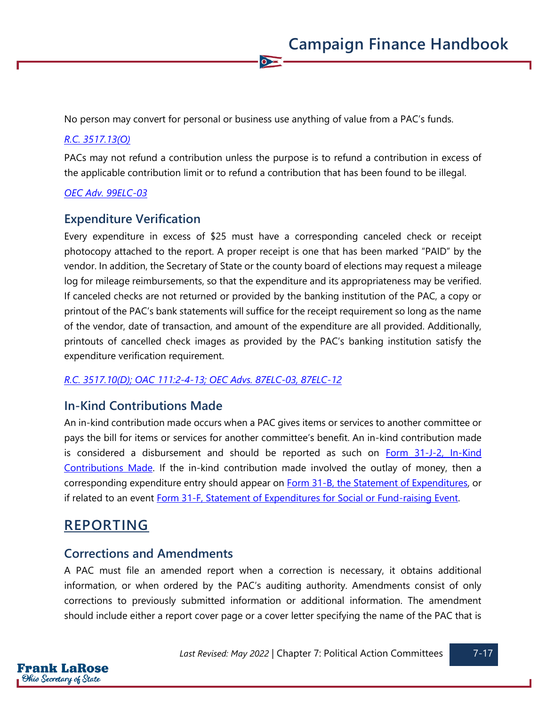No person may convert for personal or business use anything of value from a PAC's funds.

 $\bullet$ 

#### *[R.C. 3517.13\(O\)](https://codes.ohio.gov/ohio-revised-code/section-3517.13)*

PACs may not refund a contribution unless the purpose is to refund a contribution in excess of the applicable contribution limit or to refund a contribution that has been found to be illegal.

#### *[OEC Adv. 99ELC-03](https://elc.ohio.gov/wps/portal/gov/elc/opinions-decisions/advisory-opinions/by-year/99-03)*

#### **Expenditure Verification**

Every expenditure in excess of \$25 must have a corresponding canceled check or receipt photocopy attached to the report. A proper receipt is one that has been marked "PAID" by the vendor. In addition, the Secretary of State or the county board of elections may request a mileage log for mileage reimbursements, so that the expenditure and its appropriateness may be verified. If canceled checks are not returned or provided by the banking institution of the PAC, a copy or printout of the PAC's bank statements will suffice for the receipt requirement so long as the name of the vendor, date of transaction, and amount of the expenditure are all provided. Additionally, printouts of cancelled check images as provided by the PAC's banking institution satisfy the expenditure verification requirement.

#### *[R.C. 3517.10\(D\);](https://codes.ohio.gov/ohio-revised-code/section-3517.10) [OAC 111:2-4-13;](https://codes.ohio.gov/ohio-administrative-code/rule-111:2-4-13) [OEC Advs. 87ELC-03,](https://elc.ohio.gov/wps/portal/gov/elc/opinions-decisions/advisory-opinions/by-year/87-3) [87ELC-12](https://elc.ohio.gov/wps/portal/gov/elc/opinions-decisions/advisory-opinions/by-year/87-12)*

#### **In-Kind Contributions Made**

An in-kind contribution made occurs when a PAC gives items or services to another committee or pays the bill for items or services for another committee's benefit. An in-kind contribution made is considered a disbursement and should be reported as such on [Form 31-J-2, In-Kind](https://www.ohiosos.gov/globalassets/candidates/forms/31j2.pdf)  [Contributions Made.](https://www.ohiosos.gov/globalassets/candidates/forms/31j2.pdf) If the in-kind contribution made involved the outlay of money, then a corresponding expenditure entry should appear on [Form 31-B, the Statement of Expenditures,](https://www.ohiosos.gov/globalassets/candidates/forms/31b.pdf) or if related to an event [Form 31-F, Statement of Expenditures for Social or Fund-raising Event.](https://www.ohiosos.gov/globalassets/candidates/forms/31f.pdf)

### **REPORTING**

#### **Corrections and Amendments**

A PAC must file an amended report when a correction is necessary, it obtains additional information, or when ordered by the PAC's auditing authority. Amendments consist of only corrections to previously submitted information or additional information. The amendment should include either a report cover page or a cover letter specifying the name of the PAC that is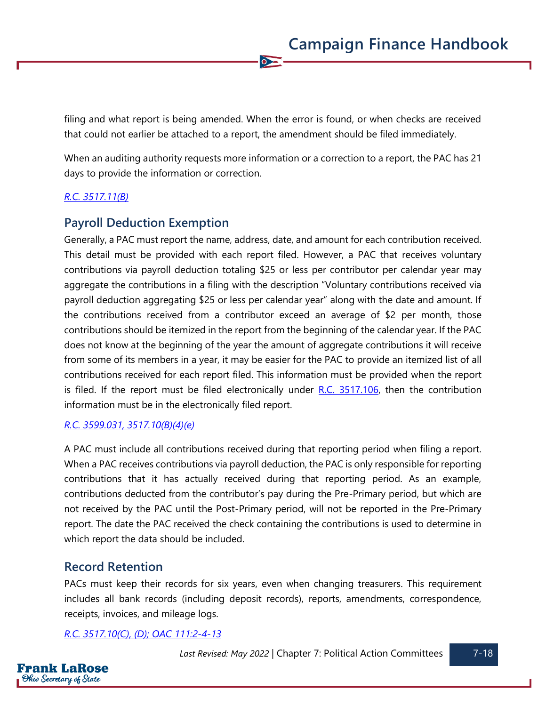filing and what report is being amended. When the error is found, or when checks are received that could not earlier be attached to a report, the amendment should be filed immediately.

 $\bullet$ 

When an auditing authority requests more information or a correction to a report, the PAC has 21 days to provide the information or correction.

#### *[R.C. 3517.11\(B\)](https://codes.ohio.gov/ohio-revised-code/section-3517.11)*

### **Payroll Deduction Exemption**

Generally, a PAC must report the name, address, date, and amount for each contribution received. This detail must be provided with each report filed. However, a PAC that receives voluntary contributions via payroll deduction totaling \$25 or less per contributor per calendar year may aggregate the contributions in a filing with the description "Voluntary contributions received via payroll deduction aggregating \$25 or less per calendar year" along with the date and amount. If the contributions received from a contributor exceed an average of \$2 per month, those contributions should be itemized in the report from the beginning of the calendar year. If the PAC does not know at the beginning of the year the amount of aggregate contributions it will receive from some of its members in a year, it may be easier for the PAC to provide an itemized list of all contributions received for each report filed. This information must be provided when the report is filed. If the report must be filed electronically under  $R.C.$  3517.106, then the contribution information must be in the electronically filed report.

#### *[R.C. 3599.031,](https://codes.ohio.gov/ohio-revised-code/section-3599.031) [3517.10\(B\)\(4\)\(e\)](https://codes.ohio.gov/ohio-revised-code/section-3517.10)*

A PAC must include all contributions received during that reporting period when filing a report. When a PAC receives contributions via payroll deduction, the PAC is only responsible for reporting contributions that it has actually received during that reporting period. As an example, contributions deducted from the contributor's pay during the Pre-Primary period, but which are not received by the PAC until the Post-Primary period, will not be reported in the Pre-Primary report. The date the PAC received the check containing the contributions is used to determine in which report the data should be included.

### **Record Retention**

PACs must keep their records for six years, even when changing treasurers. This requirement includes all bank records (including deposit records), reports, amendments, correspondence, receipts, invoices, and mileage logs.

*[R.C. 3517.10\(C\), \(D\);](https://codes.ohio.gov/ohio-revised-code/section-3517.10) [OAC 111:2-4-13](https://codes.ohio.gov/ohio-administrative-code/rule-111:2-4-13)*